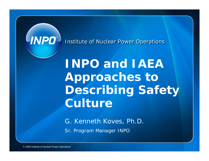

**Institute of Nuclear Power Operations** 

**INPO and IAEA Approaches to Describing Safety Culture**

G. Kenneth Koves, Ph.D. Sr. Program Manager INPO

© 2008 Institute of Nuclear Power Operations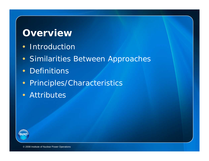#### **Overview**

- Introduction
- Similarities Between Approaches
- Definitions
- Principles/Characteristics
- Attributes

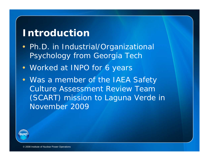### **Introduction**

- Ph.D. in Industrial/Organizational Psychology from Georgia Tech
- Worked at INPO for 6 years
- Was a member of the IAEA Safety Culture Assessment Review Team (SCART) mission to Laguna Verde in November 2009

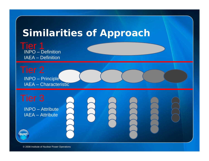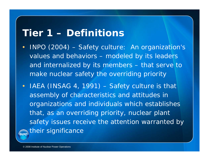### **Tier 1 – Definitions**

- • INPO (2004) – Safety culture: An organization's values and behaviors – modeled by its leaders and internalized by its members – that serve to make nuclear safety the overriding priority
- IAEA (INSAG 4, 1991) Safety culture is that assembly of characteristics and attitudes in organizations and individuals which establishes that, as an overriding priority, nuclear plant safety issues receive the attention warranted by their significance**INPO**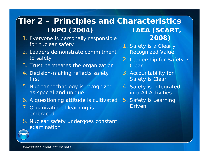#### **Tier 2 – Principles and Characteristics INPO (2004) IAEA (SCART,**

- 1. Everyone is personally responsible for nuclear safety
- 2. Leaders demonstrate commitment to safety
- 3. Trust permeates the organization
- 4. Decision-making reflects safety first
- 5. Nuclear technology is recognized as special and unique
- 6. A questioning attitude is cultivated
- 7. Organizational learning is embraced
- 8. Nuclear safety undergoes constant examination

**2008)**

- 1. Safety is a Clearly Recognized Value
- 2. Leadership for Safety is Clear
- 3. Accountability for Safety is Clear
- 4. Safety is Integrated into All Activities
- 5. Safety is Learning Driven

**INPD**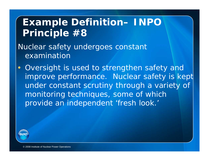## **Example Definition– INPO Principle #8**

*Nuclear safety undergoes constant examination*

 $\bullet$ Oversight is used to strengthen safety and improve performance. Nuclear safety is kept under constant scrutiny through a variety of monitoring techniques, some of which provide an independent 'fresh look.'

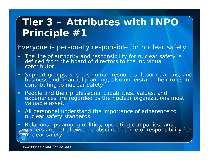# **Tier 3 – Attributes with INPO Principle #1**

#### *Everyone is personally responsible for nuclear safety*

- • The line of authority and responsibility for nuclear safety is defined from the board of directors to the individual contributor.
- $\bullet$ Support groups, such as human resources, labor relations, and business and financial planning, also understand their roles in contributing to nuclear safety.
- • People and their professional capabilities, values, and experiences are regarded as the nuclear organizations most valuable asset.
- • All personnel understand the importance of adherence to nuclear safety standards.
- $\bullet$  Relationships among utilities, operating companies, and owners are not allowed to obscure the line of responsibility for **INPALICLEAT Safety.**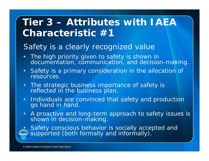# **Tier 3 – Attributes with IAEA Characteristic #1**

#### *Safety is a clearly recognized value*

- $\bullet$  The high priority given to safety is shown in documentation, communication, and decision-making.
- $\bullet$  Safety is a primary consideration in the allocation of resources.
- $\bullet$  The strategic business importance of safety is reflected in the business plan.
- Individuals are convinced that safety and production go hand in hand.
- $\bullet$ A proactive and long-term approach to safety issues is shown in decision-making.

 $\bullet$ Safety conscious behavior is socially accepted and supported (both formally and informally).